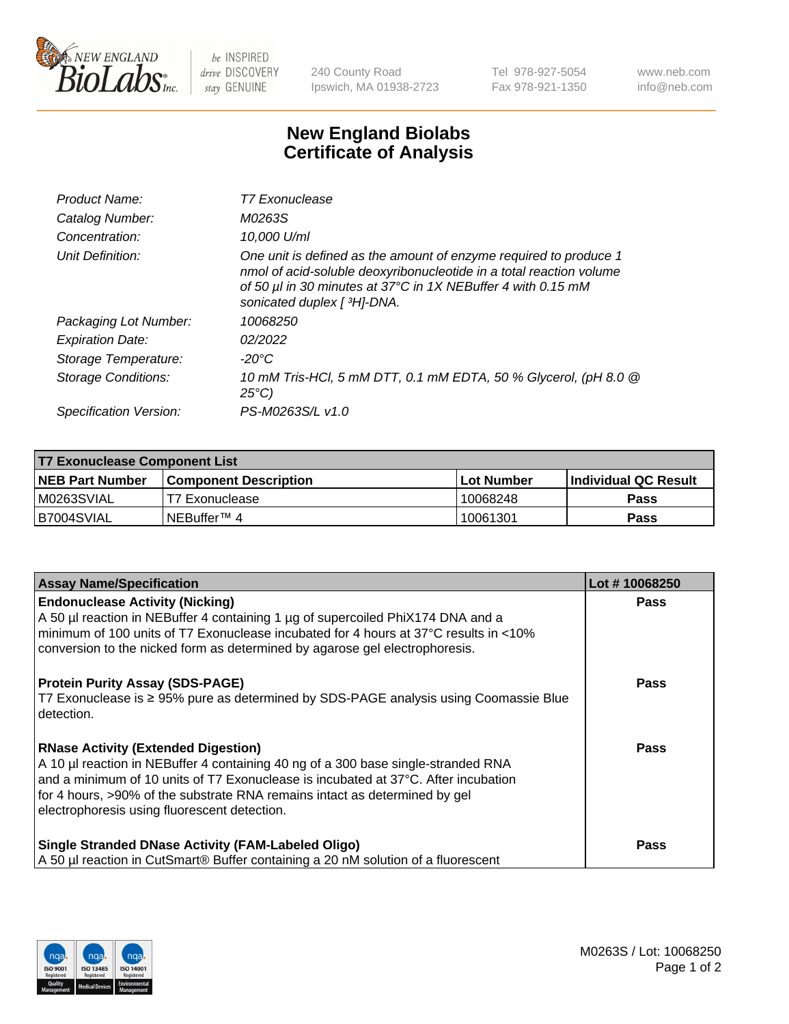

 $be$  INSPIRED drive DISCOVERY stay GENUINE

240 County Road Ipswich, MA 01938-2723 Tel 978-927-5054 Fax 978-921-1350 www.neb.com info@neb.com

## **New England Biolabs Certificate of Analysis**

| Product Name:              | T7 Exonuclease                                                                                                                                                                                                                          |
|----------------------------|-----------------------------------------------------------------------------------------------------------------------------------------------------------------------------------------------------------------------------------------|
| Catalog Number:            | M0263S                                                                                                                                                                                                                                  |
| Concentration:             | 10,000 U/ml                                                                                                                                                                                                                             |
| Unit Definition:           | One unit is defined as the amount of enzyme required to produce 1<br>nmol of acid-soluble deoxyribonucleotide in a total reaction volume<br>of 50 µl in 30 minutes at 37°C in 1X NEBuffer 4 with 0.15 mM<br>sonicated duplex [ 3H]-DNA. |
| Packaging Lot Number:      | 10068250                                                                                                                                                                                                                                |
| <b>Expiration Date:</b>    | 02/2022                                                                                                                                                                                                                                 |
| Storage Temperature:       | -20°C                                                                                                                                                                                                                                   |
| <b>Storage Conditions:</b> | 10 mM Tris-HCl, 5 mM DTT, 0.1 mM EDTA, 50 % Glycerol, (pH 8.0 @<br>$25^{\circ}$ C)                                                                                                                                                      |
| Specification Version:     | PS-M0263S/L v1.0                                                                                                                                                                                                                        |

| T7 Exonuclease Component List |                       |                   |                       |  |
|-------------------------------|-----------------------|-------------------|-----------------------|--|
| NEB Part Number               | Component Description | <b>Lot Number</b> | ∣Individual QC Result |  |
| M0263SVIAL                    | T7 Exonuclease        | 10068248          | <b>Pass</b>           |  |
| B7004SVIAL                    | INEBuffer™ 4          | 10061301          | <b>Pass</b>           |  |

| <b>Assay Name/Specification</b>                                                                                                                                                                                                                                                                                                                     | Lot #10068250 |
|-----------------------------------------------------------------------------------------------------------------------------------------------------------------------------------------------------------------------------------------------------------------------------------------------------------------------------------------------------|---------------|
| <b>Endonuclease Activity (Nicking)</b><br>A 50 µl reaction in NEBuffer 4 containing 1 µg of supercoiled PhiX174 DNA and a<br>minimum of 100 units of T7 Exonuclease incubated for 4 hours at 37°C results in <10%<br>conversion to the nicked form as determined by agarose gel electrophoresis.                                                    | <b>Pass</b>   |
| <b>Protein Purity Assay (SDS-PAGE)</b><br>T7 Exonuclease is ≥ 95% pure as determined by SDS-PAGE analysis using Coomassie Blue<br>l detection.                                                                                                                                                                                                      | <b>Pass</b>   |
| <b>RNase Activity (Extended Digestion)</b><br>A 10 µl reaction in NEBuffer 4 containing 40 ng of a 300 base single-stranded RNA<br>and a minimum of 10 units of T7 Exonuclease is incubated at 37°C. After incubation<br>for 4 hours, >90% of the substrate RNA remains intact as determined by gel<br>electrophoresis using fluorescent detection. | Pass          |
| <b>Single Stranded DNase Activity (FAM-Labeled Oligo)</b><br>A 50 µl reaction in CutSmart® Buffer containing a 20 nM solution of a fluorescent                                                                                                                                                                                                      | <b>Pass</b>   |